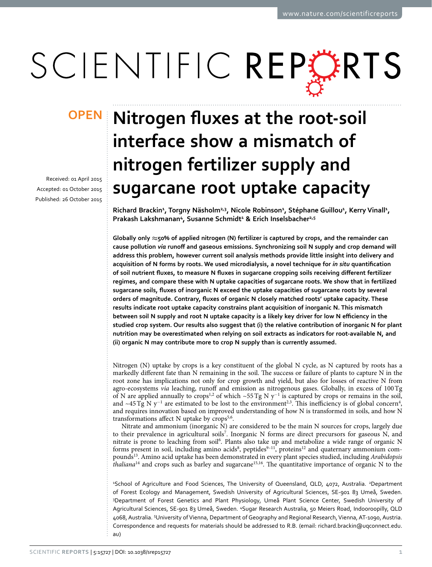# SCIENTIFIC REPERTS

received: 01 April 2015 accepted: 01 October 2015 Published: 26 October 2015

## **OPEN** Nitrogen fluxes at the root-soil **interface show a mismatch of nitrogen fertilizer supply and sugarcane root uptake capacity**

**Richard Brackin<sup>1</sup> , Torgny Näsholm2,3 , Nicole Robinson<sup>1</sup> , Stéphane Guillou<sup>1</sup> , Kerry Vinall<sup>1</sup> , Prakash Lakshmanan<sup>4</sup>, Susanne Schmidt<sup>1</sup> & Erich Inselsbacher2,5**

**Globally only ≈50% of applied nitrogen (N) fertilizer is captured by crops, and the remainder can cause pollution** *via* **runoff and gaseous emissions. Synchronizing soil N supply and crop demand will address this problem, however current soil analysis methods provide little insight into delivery and acquisition of N forms by roots. We used microdialysis, a novel technique for** *in situ* **quantification of soil nutrient fluxes, to measure N fluxes in sugarcane cropping soils receiving different fertilizer regimes, and compare these with N uptake capacities of sugarcane roots. We show that in fertilized sugarcane soils, fluxes of inorganic N exceed the uptake capacities of sugarcane roots by several orders of magnitude. Contrary, fluxes of organic N closely matched roots' uptake capacity. These results indicate root uptake capacity constrains plant acquisition of inorganic N. This mismatch between soil N supply and root N uptake capacity is a likely key driver for low N efficiency in the studied crop system. Our results also suggest that (i) the relative contribution of inorganic N for plant nutrition may be overestimated when relying on soil extracts as indicators for root-available N, and (ii) organic N may contribute more to crop N supply than is currently assumed.**

Nitrogen (N) uptake by crops is a key constituent of the global N cycle, as N captured by roots has a markedly different fate than N remaining in the soil. The success or failure of plants to capture N in the root zone has implications not only for crop growth and yield, but also for losses of reactive N from agro-ecosystems *via* leaching, runoff and emission as nitrogenous gases. Globally, in excess of 100Tg of N are applied annually to crops<sup>[1](#page-6-0)[,2](#page-6-1)</sup> of which ~55 Tg N y<sup>-1</sup> is captured by crops or remains in the soil, and ~[4](#page-6-3)5 Tg N  $y^{-1}$  are estimated to be lost to the environment<sup>[2](#page-6-1)[,3](#page-6-2)</sup>. This inefficiency is of global concern<sup>4</sup>, and requires innovation based on improved understanding of how N is transformed in soils, and how N transformations affect N uptake by  $\text{crops}^{5,6}$ .

Nitrate and ammonium (inorganic N) are considered to be the main N sources for crops, largely due to their prevalence in agricultural soils<sup>7</sup>. Inorganic N forms are direct precursors for gaseous N, and nitrate is prone to leaching from soil<sup>6</sup>. Plants also take up and metabolize a wide range of organic N forms present in soil, including amino acids<sup>8</sup>, peptides<sup>9-11</sup>, proteins<sup>12</sup> and quaternary ammonium compound[s13](#page-7-1). Amino acid uptake has been demonstrated in every plant species studied, including *Arabidopsis thaliana*<sup>14</sup> and crops such as barley and sugarcane<sup>15,[16](#page-7-4)</sup>. The quantitative importance of organic N to the

<sup>1</sup>School of Agriculture and Food Sciences, The University of Queensland, QLD, 4072, Australia. <sup>2</sup>Department of Forest Ecology and Management, Swedish University of Agricultural Sciences, SE-901 83 Umeå, Sweden. 3 Department of Forest Genetics and Plant Physiology, Umeå Plant Science Center, Swedish University of Agricultural Sciences, SE-901 83 Umeå, Sweden. <sup>4</sup>Sugar Research Australia, 50 Meiers Road, Indooroopilly, QLD 4068, Australia. 5 University of Vienna, Department of Geography and Regional Research, Vienna, AT-1090, Austria. Correspondence and requests for materials should be addressed to R.B. (email: [richard.brackin@uqconnect.edu.](mailto:richard.brackin@uqconnect.edu.au) [au](mailto:richard.brackin@uqconnect.edu.au))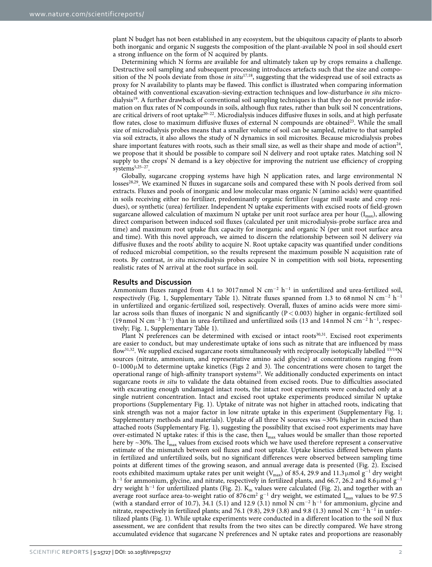plant N budget has not been established in any ecosystem, but the ubiquitous capacity of plants to absorb both inorganic and organic N suggests the composition of the plant-available N pool in soil should exert a strong influence on the form of N acquired by plants.

Determining which N forms are available for and ultimately taken up by crops remains a challenge. Destructive soil sampling and subsequent processing introduces artefacts such that the size and composition of the N pools deviate from those *in situ*[17](#page-7-5)[,18](#page-7-6), suggesting that the widespread use of soil extracts as proxy for N availability to plants may be flawed. This conflict is illustrated when comparing information obtained with conventional excavation-sieving-extraction techniques and low-disturbance *in situ* microdialysis[19.](#page-7-7) A further drawback of conventional soil sampling techniques is that they do not provide information on flux rates of N compounds in soils, although flux rates, rather than bulk soil N concentrations, are critical drivers of root uptake $20-22$ . Microdialysis induces diffusive fluxes in soils, and at high perfusate flow rates, close to maximum diffusive fluxes of external N compounds are obtained<sup>23</sup>. While the small size of microdialysis probes means that a smaller volume of soil can be sampled, relative to that sampled via soil extracts, it also allows the study of N dynamics in soil microsites. Because microdialysis probes share important features with roots, such as their small size, as well as their shape and mode of action<sup>[24](#page-7-10)</sup>, we propose that it should be possible to compare soil N delivery and root uptake rates. Matching soil N supply to the crops' N demand is a key objective for improving the nutrient use efficiency of cropping systems<sup>[5](#page-6-4),25-27</sup>.

Globally, sugarcane cropping systems have high N application rates, and large environmental N losses<sup>28,29</sup>. We examined N fluxes in sugarcane soils and compared these with N pools derived from soil extracts. Fluxes and pools of inorganic and low molecular mass organic N (amino acids) were quantified in soils receiving either no fertilizer, predominantly organic fertilizer (sugar mill waste and crop residues), or synthetic (urea) fertilizer. Independent N uptake experiments with excised roots of field-grown sugarcane allowed calculation of maximum N uptake per unit root surface area per hour  $(I<sub>max</sub>)$ , allowing direct comparison between induced soil fluxes (calculated per unit microdialysis-probe surface area and time) and maximum root uptake flux capacity for inorganic and organic N (per unit root surface area and time). With this novel approach, we aimed to discern the relationship between soil N delivery *via* diffusive fluxes and the roots' ability to acquire N. Root uptake capacity was quantified under conditions of reduced microbial competition, so the results represent the maximum possible N acquisition rate of roots. By contrast, *in situ* microdialysis probes acquire N in competition with soil biota, representing realistic rates of N arrival at the root surface in soil.

#### **Results and Discussion**

Ammonium fluxes ranged from 4.1 to 3017 nmol N  $\text{cm}^{-2}$  h<sup>-1</sup> in unfertilized and urea-fertilized soil, respectively (Fig. 1, Supplementary Table 1). Nitrate fluxes spanned from 1.3 to 68 nmol N cm<sup>-2</sup> h<sup>-1</sup> in unfertilized and organic-fertilized soil, respectively. Overall, fluxes of amino acids were more similar across soils than fluxes of inorganic N and significantly  $(P < 0.003)$  higher in organic-fertilized soil (19 nmol N cm<sup>-2</sup> h<sup>-1</sup>) than in urea-fertilized and unfertilized soils (13 and 14 nmol N cm<sup>-2</sup> h<sup>-1</sup>, respectively; [Fig. 1,](#page-2-0) Supplementary Table 1).

Plant N preferences can be determined with excised or intact roots<sup>[30](#page-7-14)[,31](#page-7-15)</sup>. Excised root experiments are easier to conduct, but may underestimate uptake of ions such as nitrate that are influenced by mass flow<sup>[31](#page-7-15)[,32](#page-7-16)</sup>. We supplied excised sugarcane roots simultaneously with reciprocally isotopically labelled  $15/14$ N sources (nitrate, ammonium, and representative amino acid glycine) at concentrations ranging from  $0-1000\,\mu$ M to determine uptake kinetics (Figs 2 and [3](#page-3-0)). The concentrations were chosen to target the operational range of high-affinity transport systems<sup>33</sup>. We additionally conducted experiments on intact sugarcane roots *in situ* to validate the data obtained from excised roots. Due to difficulties associated with excavating enough undamaged intact roots, the intact root experiments were conducted only at a single nutrient concentration. Intact and excised root uptake experiments produced similar N uptake proportions (Supplementary Fig. 1). Uptake of nitrate was not higher in attached roots, indicating that sink strength was not a major factor in low nitrate uptake in this experiment (Supplementary Fig. 1; Supplementary methods and materials). Uptake of all three N sources was ~30% higher in excised than attached roots (Supplementary Fig. 1), suggesting the possibility that excised root experiments may have over-estimated N uptake rates: if this is the case, then I<sub>max</sub> values would be smaller than those reported here by  $\sim$ 30%. The  $I_{\text{max}}$  values from excised roots which we have used therefore represent a conservative estimate of the mismatch between soil fluxes and root uptake. Uptake kinetics differed between plants in fertilized and unfertilized soils, but no significant differences were observed between sampling time points at different times of the growing season, and annual average data is presented ([Fig. 2\)](#page-2-1). Excised roots exhibited maximum uptake rates per unit weight (V<sub>max</sub>) of 85.4, 29.9 and 11.3µmol g<sup>-1</sup> dry weight h<sup>−1</sup> for ammonium, glycine, and nitrate, respectively in fertilized plants, and 66.7, 26.2 and 8.6µmol g<sup>−1</sup> dry weight h<sup>-1</sup> for unfertilized plants [\(Fig. 2](#page-2-1)). K<sub>m</sub> values were calculated [\(Fig. 2\)](#page-2-1), and together with an average root surface area-to-weight ratio of 876 cm<sup>2</sup> g<sup>-1</sup> dry weight, we estimated I<sub>max</sub> values to be 97.5 (with a standard error of 10.7), 34.1 (5.1) and 12.9 (3.1) nmol N cm<sup>-2</sup> h<sup>-1</sup> for ammonium, glycine and nitrate, respectively in fertilized plants; and 76.1 (9.8), 29.9 (3.8) and 9.8 (1.3) nmol N cm<sup>-2</sup> h<sup>-1</sup> in unfertilized plants [\(Fig. 1\)](#page-2-0). While uptake experiments were conducted in a different location to the soil N flux assessment, we are confident that results from the two sites can be directly compared. We have strong accumulated evidence that sugarcane N preferences and N uptake rates and proportions are reasonably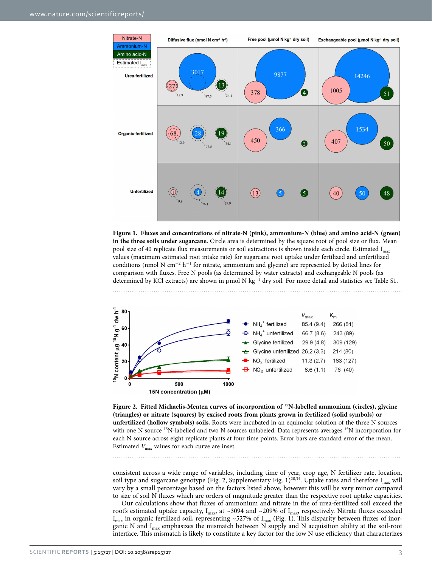

<span id="page-2-0"></span>**Figure 1. Fluxes and concentrations of nitrate-N (pink), ammonium-N (blue) and amino acid-N (green) in the three soils under sugarcane.** Circle area is determined by the square root of pool size or flux. Mean pool size of 40 replicate flux measurements or soil extractions is shown inside each circle. Estimated I<sub>max</sub> values (maximum estimated root intake rate) for sugarcane root uptake under fertilized and unfertilized conditions (nmol N cm<sup>-2</sup> h<sup>-1</sup> for nitrate, ammonium and glycine) are represented by dotted lines for comparison with fluxes. Free N pools (as determined by water extracts) and exchangeable N pools (as determined by KCl extracts) are shown in µmol N kg<sup>−1</sup> dry soil. For more detail and statistics see Table S1.



<span id="page-2-1"></span>**Figure 2. Fitted Michaelis-Menten curves of incorporation of 15N-labelled ammonium (circles), glycine (triangles) or nitrate (squares) by excised roots from plants grown in fertilized (solid symbols) or unfertilized (hollow symbols) soils.** Roots were incubated in an equimolar solution of the three N sources with one N source <sup>15</sup>N-labelled and two N sources unlabeled. Data represents averages <sup>15</sup>N incorporation for each N source across eight replicate plants at four time points. Error bars are standard error of the mean. Estimated  $V_{\text{max}}$  values for each curve are inset.

consistent across a wide range of variables, including time of year, crop age, N fertilizer rate, location, soil type and sugarcane genotype [\(Fig. 2,](#page-2-1) Supplementary Fig.  $1)^{28,34}$  $1)^{28,34}$  $1)^{28,34}$  $1)^{28,34}$ . Uptake rates and therefore I<sub>max</sub> will vary by a small percentage based on the factors listed above, however this will be very minor compared to size of soil N fluxes which are orders of magnitude greater than the respective root uptake capacities.

Our calculations show that fluxes of ammonium and nitrate in the of urea-fertilized soil exceed the root's estimated uptake capacity, I<sub>max</sub>, at ~3094 and ~209% of I<sub>max</sub>, respectively. Nitrate fluxes exceeded  $I_{\text{max}}$  in organic fertilized soil, representing ~527% of  $I_{\text{max}}$  ([Fig. 1\)](#page-2-0). This disparity between fluxes of inorganic N and  $I_{max}$  emphasizes the mismatch between N supply and N acquisition ability at the soil-root interface. This mismatch is likely to constitute a key factor for the low N use efficiency that characterizes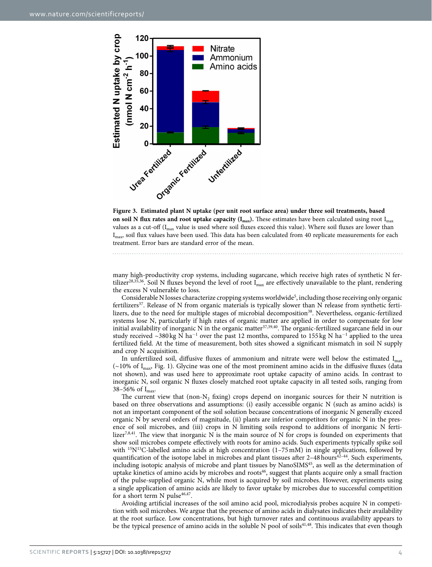

<span id="page-3-0"></span>

many high-productivity crop systems, including sugarcane, which receive high rates of synthetic N fer-tilizer<sup>[28,](#page-7-12)[35](#page-7-19)[,36](#page-7-20)</sup>. Soil N fluxes beyond the level of root  $I_{max}$  are effectively unavailable to the plant, rendering the excess N vulnerable to loss.

Considerable N losses characterize cropping systems worldwide<sup>5</sup>, including those receiving only organic fertilizers<sup>37</sup>. Release of N from organic materials is typically slower than N release from synthetic ferti-lizers, due to the need for multiple stages of microbial decomposition<sup>[38](#page-7-22)</sup>. Nevertheless, organic-fertilized systems lose N, particularly if high rates of organic matter are applied in order to compensate for low initial availability of inorganic N in the organic matter<sup>37,[39](#page-7-23),40</sup>. The organic-fertilized sugarcane field in our study received ~380 kg N ha<sup>-1</sup> over the past 12 months, compared to 155 kg N ha<sup>-1</sup> applied to the urea fertilized field. At the time of measurement, both sites showed a significant mismatch in soil N supply and crop N acquisition.

In unfertilized soil, diffusive fluxes of ammonium and nitrate were well below the estimated  $I_{max}$  $(-10\% \text{ of } I_{\text{max}})$ . [Fig. 1\)](#page-2-0). Glycine was one of the most prominent amino acids in the diffusive fluxes (data not shown), and was used here to approximate root uptake capacity of amino acids. In contrast to inorganic N, soil organic N fluxes closely matched root uptake capacity in all tested soils, ranging from 38–56% of  $I_{max}$ .

The current view that (non- $N_2$  fixing) crops depend on inorganic sources for their N nutrition is based on three observations and assumptions: (i) easily accessible organic N (such as amino acids) is not an important component of the soil solution because concentrations of inorganic N generally exceed organic N by several orders of magnitude, (ii) plants are inferior competitors for organic N in the presence of soil microbes, and (iii) crops in N limiting soils respond to additions of inorganic N ferti-lizer<sup>7,[8](#page-6-7),41</sup>. The view that inorganic N is the main source of N for crops is founded on experiments that show soil microbes compete effectively with roots for amino acids. Such experiments typically spike soil with <sup>15</sup>N<sup>13</sup>C-labelled amino acids at high concentration  $(1-75 \text{ mM})$  in single applications, followed by quantification of the isotope label in microbes and plant tissues after  $2-48$  hours $42-44$ . Such experiments, including isotopic analysis of microbe and plant tissues by NanoSIMS<sup>45</sup>, as well as the determination of uptake kinetics of amino acids by microbes and roots<sup>46</sup>, suggest that plants acquire only a small fraction of the pulse-supplied organic N, while most is acquired by soil microbes. However, experiments using a single application of amino acids are likely to favor uptake by microbes due to successful competition for a short term N pulse<sup>[46,](#page-7-28)[47](#page-7-29)</sup>.

Avoiding artificial increases of the soil amino acid pool, microdialysis probes acquire N in competition with soil microbes. We argue that the presence of amino acids in dialysates indicates their availability at the root surface. Low concentrations, but high turnover rates and continuous availability appears to be the typical presence of amino acids in the soluble N pool of soils<sup>41[,48](#page-7-30)</sup>. This indicates that even though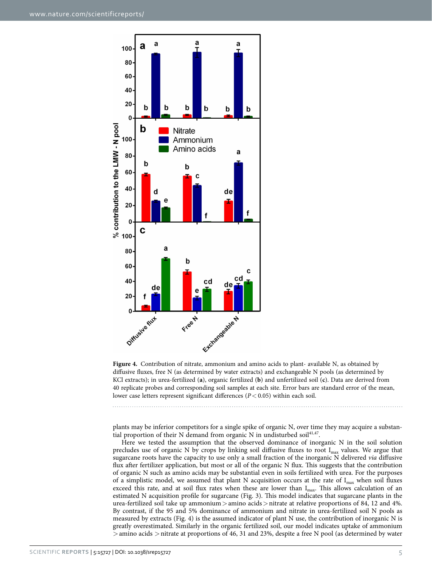

<span id="page-4-0"></span>**Figure 4.** Contribution of nitrate, ammonium and amino acids to plant- available N, as obtained by diffusive fluxes, free N (as determined by water extracts) and exchangeable N pools (as determined by KCl extracts); in urea-fertilized (**a**), organic fertilized (**b**) and unfertilized soil (**c**). Data are derived from 40 replicate probes and corresponding soil samples at each site. Error bars are standard error of the mean, lower case letters represent significant differences (*P*< 0.05) within each soil.

plants may be inferior competitors for a single spike of organic N, over time they may acquire a substan-tial proportion of their N demand from organic N in undisturbed soil<sup>41[,47](#page-7-29)</sup>.

Here we tested the assumption that the observed dominance of inorganic N in the soil solution precludes use of organic N by crops by linking soil diffusive fluxes to root I<sub>max</sub> values. We argue that sugarcane roots have the capacity to use only a small fraction of the inorganic N delivered *via* diffusive flux after fertilizer application, but most or all of the organic N flux. This suggests that the contribution of organic N such as amino acids may be substantial even in soils fertilized with urea. For the purposes of a simplistic model, we assumed that plant N acquisition occurs at the rate of  $I_{max}$  when soil fluxes exceed this rate, and at soil flux rates when these are lower than  $I_{\text{max}}$ . This allows calculation of an estimated N acquisition profile for sugarcane [\(Fig. 3\)](#page-3-0). This model indicates that sugarcane plants in the urea-fertilized soil take up ammonium > amino acids > nitrate at relative proportions of 84, 12 and 4%. By contrast, if the 95 and 5% dominance of ammonium and nitrate in urea-fertilized soil N pools as measured by extracts [\(Fig. 4\)](#page-4-0) is the assumed indicator of plant N use, the contribution of inorganic N is greatly overestimated. Similarly in the organic fertilized soil, our model indicates uptake of ammonium >amino acids >nitrate at proportions of 46, 31 and 23%, despite a free N pool (as determined by water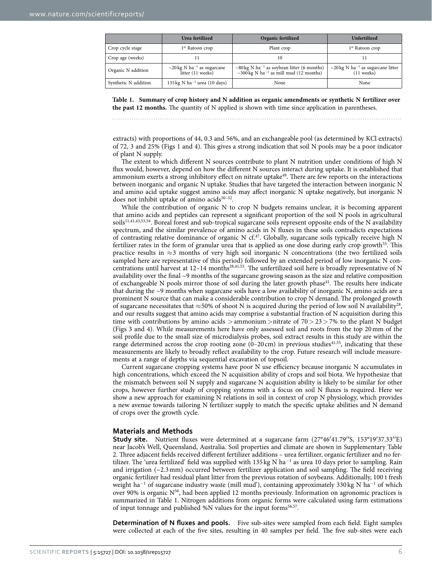<span id="page-5-0"></span>

|                      | Urea fertilized                                                   | Organic fertilized                                                                                                 | Unfertilized                                                                |
|----------------------|-------------------------------------------------------------------|--------------------------------------------------------------------------------------------------------------------|-----------------------------------------------------------------------------|
| Crop cycle stage     | 1 <sup>st</sup> Ratoon crop                                       | Plant crop                                                                                                         | 1 <sup>st</sup> Ratoon crop                                                 |
| Crop age (weeks)     |                                                                   | 10                                                                                                                 |                                                                             |
| Organic N addition   | $\sim$ 20 kg N ha <sup>-1</sup> as sugarcane<br>litter (11 weeks) | $\sim$ 80 kg N ha <sup>-1</sup> as soybean litter (6 months)<br>~300 kg N ha <sup>-1</sup> as mill mud (12 months) | $\sim$ 20 kg N ha <sup>-1</sup> as sugarcane litter<br>$(11 \text{ weeks})$ |
| Synthetic N addition | $135 \text{ kg} \text{ N} \text{ ha}^{-1}$ urea (10 days)         | None                                                                                                               | None                                                                        |

**Table 1. Summary of crop history and N addition as organic amendments or synthetic N fertilizer over the past 12 months.** The quantity of N applied is shown with time since application in parentheses.

extracts) with proportions of 44, 0.3 and 56%, and an exchangeable pool (as determined by KCl extracts) of 72, 3 and 25% ([Figs 1](#page-2-0) and [4\)](#page-4-0). This gives a strong indication that soil N pools may be a poor indicator of plant N supply.

The extent to which different N sources contribute to plant N nutrition under conditions of high N flux would, however, depend on how the different N sources interact during uptake. It is established that ammonium exerts a strong inhibitory effect on nitrate uptake<sup>49</sup>. There are few reports on the interactions between inorganic and organic N uptake. Studies that have targeted the interaction between inorganic N and amino acid uptake suggest amino acids may affect inorganic N uptake negatively, but inorganic N does not inhibit uptake of amino acids $50-52$ .

While the contribution of organic N to crop N budgets remains unclear, it is becoming apparent that amino acids and peptides can represent a significant proportion of the soil N pools in agricultural soils<sup>11,[41,](#page-7-25)[43](#page-7-33)[,53](#page-8-1),54</sup>. Boreal forest and sub-tropical sugarcane soils represent opposite ends of the N availability spectrum, and the similar prevalence of amino acids in N fluxes in these soils contradicts expectations of contrasting relative dominance of organic N cf.<sup>47</sup>. Globally, sugarcane soils typically receive high N fertilizer rates in the form of granular urea that is applied as one dose during early crop growth<sup>55</sup>. This practice results in  $\approx$ 3 months of very high soil inorganic N concentrations (the two fertilized soils sampled here are representative of this period) followed by an extended period of low inorganic N con-centrations until harvest at 12–14 months<sup>28,[41,](#page-7-25)55</sup>. The unfertilized soil here is broadly representative of N availability over the final ~9 months of the sugarcane growing season as the size and relative composition of exchangeable N pools mirror those of soil during the later growth phase<sup>41</sup>. The results here indicate that during the ~9 months when sugarcane soils have a low availability of inorganic N, amino acids are a prominent N source that can make a considerable contribution to crop N demand. The prolonged growth of sugarcane necessitates that  $\approx$ 50% of shoot N is acquired during the period of low soil N availability<sup>[28](#page-7-12)</sup>, and our results suggest that amino acids may comprise a substantial fraction of N acquisition during this time with contributions by amino acids  $>$ ammonium $>$ nitrate of 70 $>$  23 $>$  7% to the plant N budget ([Figs 3](#page-3-0) and [4](#page-4-0)). While measurements here have only assessed soil and roots from the top 20mm of the soil profile due to the small size of microdialysis probes, soil extract results in this study are within the range determined across the crop rooting zone  $(0-20 \text{ cm})$  in previous studies<sup>[41,](#page-7-25)55</sup>, indicating that these measurements are likely to broadly reflect availability to the crop. Future research will include measurements at a range of depths via sequential excavation of topsoil.

Current sugarcane cropping systems have poor N use efficiency because inorganic N accumulates in high concentrations, which exceed the N acquisition ability of crops and soil biota. We hypothesize that the mismatch between soil N supply and sugarcane N acquisition ability is likely to be similar for other crops, however further study of cropping systems with a focus on soil N fluxes is required. Here we show a new approach for examining N relations in soil in context of crop N physiology, which provides a new avenue towards tailoring N fertilizer supply to match the specific uptake abilities and N demand of crops over the growth cycle.

#### **Materials and Methods**

**Study site.** Nutrient fluxes were determined at a sugarcane farm (27°46′41.79′′S, 153°19′37.33′′E) near Jacob's Well, Queensland, Australia. Soil properties and climate are shown in Supplementary Table 2. Three adjacent fields received different fertilizer additions – urea fertilizer, organic fertilizer and no fertilizer. The 'urea fertilized' field was supplied with 135 kg N ha<sup>-1</sup> as urea 10 days prior to sampling. Rain and irrigation (~2.3mm) occurred between fertilizer application and soil sampling. The field receiving organic fertilizer had residual plant litter from the previous rotation of soybeans. Additionally, 100 t fresh weight ha<sup>-1</sup> of sugarcane industry waste (mill mud'), containing approximately 330 kg N ha<sup>-1</sup> of which over 90% is organic  $N^{56}$ , had been applied 12 months previously. Information on agronomic practices is summarized in [Table 1.](#page-5-0) Nitrogen additions from organic forms were calculated using farm estimations of input tonnage and published %N values for the input forms<sup>[56](#page-8-4),57</sup>.

**Determination of N fluxes and pools.** Five sub-sites were sampled from each field. Eight samples were collected at each of the five sites, resulting in 40 samples per field. The five sub-sites were each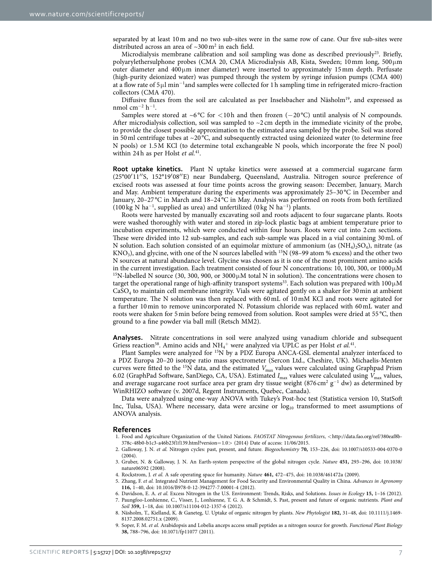separated by at least 10m and no two sub-sites were in the same row of cane. Our five sub-sites were distributed across an area of  $\sim$ 300 m<sup>2</sup> in each field.

Microdialysis membrane calibration and soil sampling was done as described previously<sup>23</sup>. Briefly, polyarylethersulphone probes (CMA 20, CMA Microdialysis AB, Kista, Sweden; 10mm long, 500μm outer diameter and  $400 \mu m$  inner diameter) were inserted to approximately 15 mm depth. Perfusate (high-purity deionized water) was pumped through the system by syringe infusion pumps (CMA 400) at a flow rate of 5µl min<sup>-1</sup>and samples were collected for 1 h sampling time in refrigerated micro-fraction collectors (CMA 470).

Diffusive fluxes from the soil are calculated as per Inselsbacher and Näsholm<sup>19</sup>, and expressed as nmol cm<sup>-2</sup> h<sup>-1</sup>.

Samples were stored at ~6 °C for <10h and then frozen (−20 °C) until analysis of N compounds. After microdialysis collection, soil was sampled to  $\sim$ 2 cm depth in the immediate vicinity of the probe, to provide the closest possible approximation to the estimated area sampled by the probe. Soil was stored in 50 ml centrifuge tubes at  $\sim$  20 °C, and subsequently extracted using deionized water (to determine free N pools) or 1.5M KCl (to determine total exchangeable N pools, which incorporate the free N pool) within 24h as per Holst *et al.*<sup>[41](#page-7-25)</sup>.

**Root uptake kinetics.** Plant N uptake kinetics were assessed at a commercial sugarcane farm (25°00′11′′S, 152°19′08′′E) near Bundaberg, Queensland, Australia. Nitrogen source preference of excised roots was assessed at four time points across the growing season: December, January, March and May. Ambient temperature during the experiments was approximately 25–30 °C in December and January, 20–27 °C in March and 18–24 °C in May. Analysis was performed on roots from both fertilized (100 kg N ha<sup>−</sup><sup>1</sup> , supplied as urea) and unfertilized (0 kg N ha<sup>−</sup><sup>1</sup> ) plants.

Roots were harvested by manually excavating soil and roots adjacent to four sugarcane plants. Roots were washed thoroughly with water and stored in zip-lock plastic bags at ambient temperature prior to incubation experiments, which were conducted within four hours. Roots were cut into 2 cm sections. These were divided into 12 sub-samples, and each sub-sample was placed in a vial containing 30mL of N solution. Each solution consisted of an equimolar mixture of ammonium (as  $(NH_4)$ ,  $SO_4$ ), nitrate (as  $KNO<sub>3</sub>$ ), and glycine, with one of the N sources labelled with <sup>15</sup>N (98–99 atom % excess) and the other two N sources at natural abundance level. Glycine was chosen as it is one of the most prominent amino acids in the current investigation. Each treatment consisted of four N concentrations: 10, 100, 300, or 1000 $\mu$ M <sup>15</sup>N-labelled N source (30, 300, 900, or 3000 $\mu$ M total N in solution). The concentrations were chosen to target the operational range of high-affinity transport systems<sup>33</sup>. Each solution was prepared with  $100 \mu M$ CaSO4 to maintain cell membrane integrity. Vials were agitated gently on a shaker for 30min at ambient temperature. The N solution was then replaced with 60mL of 10mM KCl and roots were agitated for a further 10min to remove unincorporated N. Potassium chloride was replaced with 60mL water and roots were shaken for 5min before being removed from solution. Root samples were dried at 55 °C, then ground to a fine powder via ball mill (Retsch MM2).

**Analyses.** Nitrate concentrations in soil were analyzed using vanadium chloride and subsequent Griess reaction<sup>58</sup>. Amino acids and NH<sub>4</sub><sup>+</sup> were analyzed via UPLC as per Holst *et al.*<sup>41</sup>.

Plant Samples were analyzed for 15N by a PDZ Europa ANCA-GSL elemental analyzer interfaced to a PDZ Europa 20–20 isotope ratio mass spectrometer (Sercon Ltd., Cheshire, UK). Michaelis-Menten curves were fitted to the 15N data, and the estimated *V*max values were calculated using Graphpad Prism 6.02 (GraphPad Software, SanDiego, CA, USA). Estimated *I*max values were calculated using *V*max values, and average sugarcane root surface area per gram dry tissue weight (876 cm<sup>2</sup> g<sup>-1</sup> dw) as determined by WinRHIZO software (v. 2007d, Regent Instruments, Quebec, Canada).

Data were analyzed using one-way ANOVA with Tukey's Post-hoc test (Statistica version 10, StatSoft Inc, Tulsa, USA). Where necessary, data were arcsine or  $log_{10}$  transformed to meet assumptions of ANOVA analysis.

#### **References**

- <span id="page-6-0"></span>1. Food and Agriculture Organization of the United Nations. *FAOSTAT Nitrogenous fertilizers*, <[http://data.fao.org/ref/380eaf8b-](http://data.fao.org/ref/380eaf8b-378c-48b0-b1c3-a46b23f1f139.html)[378c-48b0-b1c3-a46b23f1f139.html?](http://data.fao.org/ref/380eaf8b-378c-48b0-b1c3-a46b23f1f139.html)version=1.0> (2014) Date of access: 11/06/2015.
- <span id="page-6-1"></span>2. Galloway, J. N. *et al.* Nitrogen cycles: past, present, and future. *Biogeochemistry* **70,** 153–226, doi: 10.1007/s10533-004-0370-0 (2004).
- <span id="page-6-2"></span>3. Gruber, N. & Galloway, J. N. An Earth-system perspective of the global nitrogen cycle. *Nature* **451,** 293–296, doi: 10.1038/ nature06592 (2008).
- <span id="page-6-3"></span>4. Rockstrom, J. *et al.* A safe operating space for humanity. *Nature* **461,** 472–475, doi: 10.1038/461472a (2009).
- <span id="page-6-4"></span>5. Zhang, F. *et al.* Integrated Nutrient Management for Food Security and Environmental Quality in China. *Advances in Agronomy* **116,** 1–40, doi: 10.1016/B978-0-12-394277-7.00001-4 (2012).
- <span id="page-6-6"></span><span id="page-6-5"></span>6. Davidson, E. A. *et al.* Excess Nitrogen in the U.S. Environment: Trends, Risks, and Solutions. *Issues in Ecology* **15,** 1–16 (2012). 7. Paungfoo-Lonhienne, C., Visser, J., Lonhienne, T. G. A. & Schmidt, S. Past, present and future of organic nutrients. *Plant and Soil* **359,** 1–18, doi: 10.1007/s11104-012-1357-6 (2012).
- <span id="page-6-7"></span>8. Näsholm, T., Kielland, K. & Ganeteg, U. Uptake of organic nitrogen by plants. *New Phytologist* **182,** 31–48, doi: 10.1111/j.1469- 8137.2008.02751.x (2009).
- <span id="page-6-8"></span>9. Soper, F. M. *et al.* Arabidopsis and Lobelia anceps access small peptides as a nitrogen source for growth. *Functional Plant Biology* **38,** 788–796, doi: 10.1071/fp11077 (2011).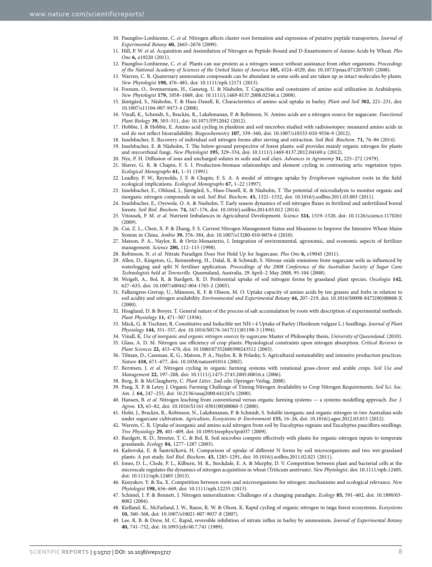- 10. Paungfoo-Lonhienne, C. *et al.* Nitrogen affects cluster root formation and expression of putative peptide transporters. *Journal of Experimental Botany* **60,** 2665–2676 (2009).
- <span id="page-7-32"></span>11. Hill, P. W. *et al.* Acquisition and Assimilation of Nitrogen as Peptide-Bound and D-Enantiomers of Amino Acids by Wheat. *Plos One* **6,** e19220 (2011).
- <span id="page-7-0"></span>12. Paungfoo-Lonhienne, C. *et al.* Plants can use protein as a nitrogen source without assistance from other organisms. *Proceedings of the National Academy of Sciences of the United States of America* **105,** 4524–4529, doi: 10.1073/pnas.0712078105 (2008).
- <span id="page-7-1"></span>13. Warren, C. R. Quaternary ammonium compounds can be abundant in some soils and are taken up as intact molecules by plants. *New Phytologist* **198,** 476–485, doi: 10.1111/nph.12171 (2013).
- <span id="page-7-2"></span>14. Forsum, O., Svennerstam, H., Ganeteg, U. & Näsholm, T. Capacities and constraints of amino acid utilization in Arabidopsis. *New Phytologist* **179,** 1058–1069, doi: 10.1111/j.1469-8137.2008.02546.x (2008).
- <span id="page-7-3"></span>15. Jämtgård, S., Näsholm, T. & Huss-Danell, K. Characteristics of amino acid uptake in barley. *Plant and Soil* **302,** 221–231, doi: 10.1007/s11104-007-9473-4 (2008).
- <span id="page-7-4"></span>16. Vinall, K., Schmidt, S., Brackin, R., Lakshmanan, P. & Robinson, N. Amino acids are a nitrogen source for sugarcane. *Functional Plant Biology* **39,** 503–511, doi: 10.1071/FP12042 (2012).
- <span id="page-7-5"></span>17. Hobbie, J. & Hobbie, E. Amino acid cycling in plankton and soil microbes studied with radioisotopes: measured amino acids in soil do not reflect bioavailability. *Biogeochemistry* **107,** 339–360, doi: 10.1007/s10533-010-9556-9 (2012).
- <span id="page-7-7"></span><span id="page-7-6"></span>18. Inselsbacher, E. Recovery of individual soil nitrogen forms after sieving and extraction. *Soil Biol. Biochem.* **71,** 76–86 (2014). 19. Inselsbacher, E. & Näsholm, T. The below-ground perspective of forest plants: soil provides mainly organic nitrogen for plants
- <span id="page-7-8"></span>and mycorrhizal fungi. *New Phytologist* **195,** 329–334, doi: 10.1111/j.1469-8137.2012.04169.x (2012). 20. Nye, P. H. Diffusion of ions and uncharged solutes in soils and soil clays. *Advances in Agronomy* **31,** 225–272 (1979).
- 21. Shaver, G. R. & Chapin, F. S. I. Production-biomass relationships and element cycling in contrasting artic vegetation types. *Ecological Monographs* **61,** 1–31 (1991).
- 22. Leadley, P. W., Reynolds, J. F. & Chapin, F. S. A. A model of nitrogen uptake by *Eriophorum vaginatum* roots in the field: ecological implications. *Ecological Monographs* **67,** 1–22 (1997).
- <span id="page-7-9"></span>23. Inselsbacher, E., Ohlund, J., Jämtgård, S., Huss-Danell, K. & Näsholm, T. The potential of microdialysis to monitor organic and inorganic nitrogen compounds in soil. *Soil Biol. Biochem.* **43,** 1321–1332, doi: 10.1016/j.soilbio.2011.03.003 (2011).
- <span id="page-7-10"></span>24. Inselsbacher, E., Oyewole, O. A. & Nasholm, T. Early season dynamics of soil nitrogen fluxes in fertilized and unfertilized boreal forests. *Soil Biol. Biochem.* **74,** 167–176, doi: 10.1016/j.soilbio.2014.03.012 (2014).
- <span id="page-7-11"></span>25. Vitousek, P. M. *et al.* Nutrient Imbalances in Agricultural Development. *Science* **324,** 1519–1520, doi: 10.1126/science.1170261  $(2009)$
- 26. Cui, Z. L., Chen, X. P. & Zhang, F. S. Current Nitrogen Management Status and Measures to Improve the Intensive Wheat-Maize System in China. *Ambio* **39,** 376–384, doi: 10.1007/s13280-010-0076-6 (2010).
- 27. Matson, P. A., Naylor, R. & Ortiz-Monasterio, I. Integration of environmental, agronomic, and economic aspects of fertilizer management. *Science* **280,** 112–115 (1998).
- <span id="page-7-12"></span>28. Robinson, N. *et al.* Nitrate Paradigm Does Not Hold Up for Sugarcane. *Plos One* **6,** e19045 (2011).
- <span id="page-7-13"></span>29. Allen, D., Kingston, G., Rennenberg, H., Dalal, R. & Schmidt, S. Nitrous oxide emissions from sugarcane soils as influenced by waterlogging and split N fertiliser application. *Proceedings of the 2008 Conference of the Australian Society of Sugar Cane Technologists held at Townsville*. Queensland, Australia, 29 April–2 May 2008, 95-104 (2008).
- <span id="page-7-14"></span>30. Weigelt, A., Bol, R. & Bardgett, R. D. Preferential uptake of soil nitrogen forms by grassland plant species. *Oecologia* **142,** 627–635, doi: 10.1007/s00442-004-1765-2 (2005).
- <span id="page-7-15"></span>31. Falkengren-Grerup, U., Månsson, K. F. & Olsson, M. O. Uptake capacity of amino acids by ten grasses and forbs in relation to soil acidity and nitrogen availability. *Environmental and Experimental Botany* **44,** 207–219, doi: 10.1016/S0098-8472(00)00068-X (2000).
- <span id="page-7-16"></span>32. Hoagland, D. & Broyer, T. General nature of the process of salt accumulation by roots with description of experimental methods. *Plant Physiology* **11,** 471–507 (1936).
- <span id="page-7-17"></span>33. Mäck, G. & Tischner, R. Constitutive and Inducible net NH+4 Uptake of Barley (Hordeum vulgare L.) Seedlings. *Journal of Plant Physiology* **144,** 351–357, doi: 10.1016/S0176-1617(11)81198-3 (1994).
- <span id="page-7-19"></span><span id="page-7-18"></span>34. Vinall, K. *Use of inorganic and organic nitrogen sources by sugarcane* Master of Philosophy thesis. *University of Queensland*. (2010).
- 35. Glass, A. D. M. Nitrogen use efficiency of crop plants: Physiological constraints upon nitrogen absorption. *Critical Reviews in Plant Sciences* **22,** 453–470, doi: 10.1080/07352680390243512 (2003).
- <span id="page-7-20"></span>36. Tilman, D., Cassman, K. G., Matson, P. A., Naylor, R. & Polasky, S. Agricultural sustainability and intensive production practices. *Nature* **418,** 671–677, doi: 10.1038/nature01014 (2002).
- <span id="page-7-21"></span>37. Berntsen, J. *et al.* Nitrogen cycling in organic farming systems with rotational grass-clover and arable crops. *Soil Use and Management* **22,** 197–208, doi: 10.1111/j.1475-2743.2005.00016.x (2006).
- <span id="page-7-22"></span>38. Berg, B. & McClaugherty, C. *Plant Litter*. 2nd edn (Springer-Verlag, 2008).
- <span id="page-7-23"></span>39. Pang, X. P. & Letey, J. Organic Farming Challenge of Timing Nitrogen Availability to Crop Nitrogen Requirements. *Soil Sci. Soc. Am. J*. **64,** 247–253, doi: 10.2136/sssaj2000.641247x (2000).
- <span id="page-7-24"></span>40. Hansen, B. *et al.* Nitrogen leaching from conventional versus organic farming systems — a systems modelling approach. *Eur. J. Agron.* **13,** 65–82, doi: 10.1016/S1161-0301(00)00060-5 (2000).
- <span id="page-7-25"></span>41. Holst, J., Brackin, R., Robinson, N., Lakshmanan, P. & Schmidt, S. Soluble inorganic and organic nitrogen in two Australian soils under sugarcane cultivation. *Agriculture, Ecosystems & Environment* **155,** 16–26, doi: 10.1016/j.agee.2012.03.015 (2012).
- <span id="page-7-26"></span>42. Warren, C. R. Uptake of inorganic and amino acid nitrogen from soil by Eucalyptus regnans and Eucalyptus pauciflora seedlings. *Tree Physiology* **29,** 401–409, doi: 10.1093/treephys/tpn037 (2009).
- <span id="page-7-33"></span>43. Bardgett, R. D., Streeter, T. C. & Bol, R. Soil microbes compete effectively with plants for organic-nitrogen inputs to temperate grasslands. *Ecology* **84,** 1277–1287 (2003).
- 44. Kaštovská, E. & Šantrůčková, H. Comparison of uptake of different N forms by soil microorganisms and two wet-grassland plants: A pot study. *Soil Biol. Biochem.* **43,** 1285–1291, doi: 10.1016/j.soilbio.2011.02.021 (2011).
- <span id="page-7-27"></span>45. Jones, D. L., Clode, P. L., Kilburn, M. R., Stockdale, E. A. & Murphy, D. V. Competition between plant and bacterial cells at the microscale regulates the dynamics of nitrogen acquisition in wheat (Triticum aestivum). *New Phytologist*, doi: 10.1111/nph.12405, doi: 10.1111/nph.12405 (2013).
- <span id="page-7-28"></span>46. Kuzyakov, Y. & Xu, X. Competition between roots and microorganisms for nitrogen: mechanisms and ecological relevance. *New Phytologist* **198,** 656–669, doi: 10.1111/nph.12235 (2013).
- <span id="page-7-29"></span>47. Schimel, J. P. & Bennett, J. Nitrogen mineralization: Challenges of a changing paradigm. *Ecology* **85,** 591–602, doi: 10.1890/03- 8002 (2004).
- <span id="page-7-30"></span>48. Kielland, K., McFarland, J. W., Ruess, R. W. & Olson, K. Rapid cycling of organic nitrogen in taiga forest ecosystems. *Ecosystems* **10,** 360–368, doi: 10.1007/s10021-007-9037-8 (2007).
- <span id="page-7-31"></span>49. Lee, R. B. & Drew, M. C. Rapid, reversible inhibition of nitrate influx in barley by ammonium. *Journal of Experimental Botany* **40,** 741–752, doi: 10.1093/jxb/40.7.741 (1989).